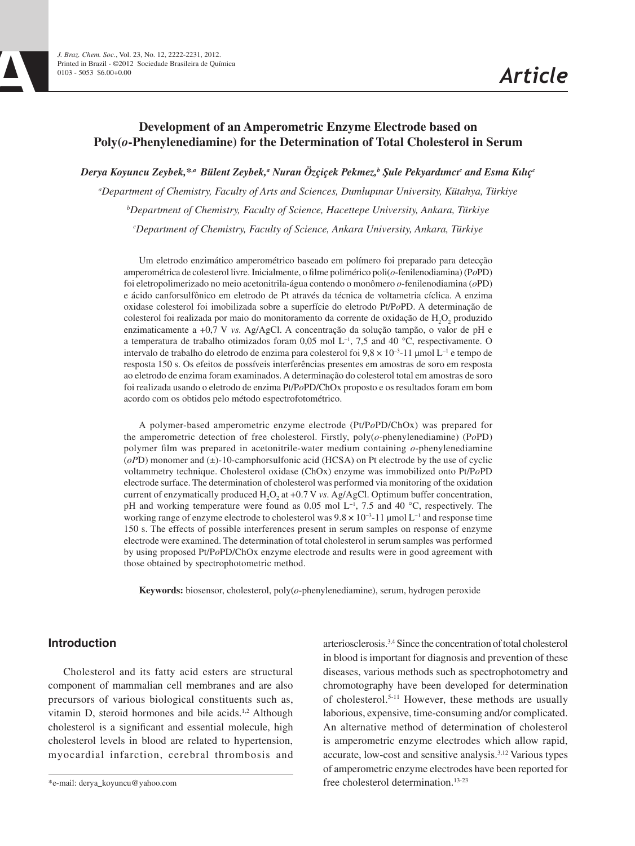# **Development of an Amperometric Enzyme Electrode based on Poly(***o***-Phenylenediamine) for the Determination of Total Cholesterol in Serum**

*Derya Koyuncu Zeybek,\*,a Bülent Zeybek, a Nuran Özçiçek Pekmez,b Şule Pekyardımcıc and Esma Kılıçc*

*a Department of Chemistry, Faculty of Arts and Sciences, Dumlupınar University, Kütahya, Türkiye b Department of Chemistry, Faculty of Science, Hacettepe University, Ankara, Türkiye c Department of Chemistry, Faculty of Science, Ankara University, Ankara, Türkiye*

Um eletrodo enzimático amperométrico baseado em polímero foi preparado para detecção amperométrica de colesterol livre. Inicialmente, o filme polimérico poli(*o*-fenilenodiamina) (P*o*PD) foi eletropolimerizado no meio acetonitrila-água contendo o monômero *o*-fenilenodiamina (*o*PD) e ácido canforsulfônico em eletrodo de Pt através da técnica de voltametria cíclica. A enzima oxidase colesterol foi imobilizada sobre a superfície do eletrodo Pt/P*o*PD. A determinação de colesterol foi realizada por maio do monitoramento da corrente de oxidação de H<sub>2</sub>O<sub>2</sub> produzido enzimaticamente a +0,7 V *vs.* Ag/AgCl. A concentração da solução tampão, o valor de pH e a temperatura de trabalho otimizados foram 0,05 mol L−1, 7,5 and 40 °C, respectivamente. O intervalo de trabalho do eletrodo de enzima para colesterol foi 9,8 × 10−3-11 µmol L−1 e tempo de resposta 150 s. Os efeitos de possíveis interferências presentes em amostras de soro em resposta ao eletrodo de enzima foram examinados. A determinação do colesterol total em amostras de soro foi realizada usando o eletrodo de enzima Pt/P*o*PD/ChOx proposto e os resultados foram em bom acordo com os obtidos pelo método espectrofotométrico.

A polymer-based amperometric enzyme electrode (Pt/P*o*PD/ChOx) was prepared for the amperometric detection of free cholesterol. Firstly, poly(*o*-phenylenediamine) (P*o*PD) polymer film was prepared in acetonitrile-water medium containing *o*-phenylenediamine  $(oPD)$  monomer and  $(\pm)$ -10-camphorsulfonic acid (HCSA) on Pt electrode by the use of cyclic voltammetry technique. Cholesterol oxidase (ChOx) enzyme was immobilized onto Pt/P*o*PD electrode surface. The determination of cholesterol was performed via monitoring of the oxidation current of enzymatically produced H<sub>2</sub>O<sub>2</sub> at +0.7 V *vs.* Ag/AgCl. Optimum buffer concentration, pH and working temperature were found as 0.05 mol L−1, 7.5 and 40 **°**C, respectively. The working range of enzyme electrode to cholesterol was  $9.8 \times 10^{-3}$ -11 µmol L<sup>-1</sup> and response time 150 s. The effects of possible interferences present in serum samples on response of enzyme electrode were examined. The determination of total cholesterol in serum samples was performed by using proposed Pt/P*o*PD/ChOx enzyme electrode and results were in good agreement with those obtained by spectrophotometric method.

**Keywords:** biosensor, cholesterol, poly(*o*-phenylenediamine), serum, hydrogen peroxide

## **Introduction**

Cholesterol and its fatty acid esters are structural component of mammalian cell membranes and are also precursors of various biological constituents such as, vitamin D, steroid hormones and bile acids.<sup>1,2</sup> Although cholesterol is a significant and essential molecule, high cholesterol levels in blood are related to hypertension, myocardial infarction, cerebral thrombosis and

arteriosclerosis.3,4 Since the concentration of total cholesterol in blood is important for diagnosis and prevention of these diseases, various methods such as spectrophotometry and chromotography have been developed for determination of cholesterol.5-11 However, these methods are usually laborious, expensive, time-consuming and/or complicated. An alternative method of determination of cholesterol is amperometric enzyme electrodes which allow rapid, accurate, low-cost and sensitive analysis.3,12 Various types of amperometric enzyme electrodes have been reported for free cholesterol determination.<sup>13-23</sup>

<sup>\*</sup>e-mail: derya\_koyuncu@yahoo.com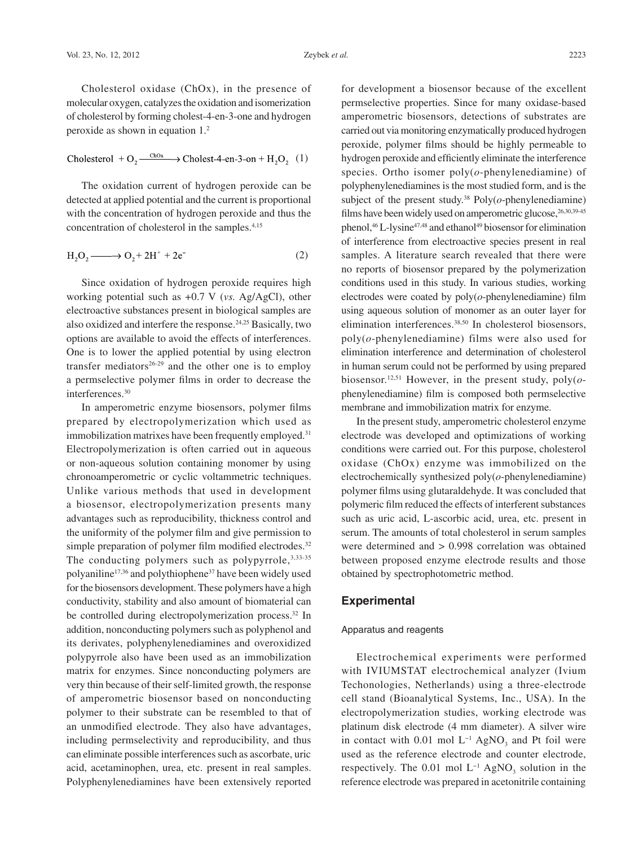Cholesterol + O<sub>2</sub> 
$$
\xrightarrow{\text{ChOx}}
$$
 Cholest-4-en-3-on + H<sub>2</sub>O<sub>2</sub> (1)

The oxidation current of hydrogen peroxide can be detected at applied potential and the current is proportional with the concentration of hydrogen peroxide and thus the concentration of cholesterol in the samples.4,15

$$
H_2O_2 \longrightarrow O_2 + 2H^+ + 2e^-
$$
 (2)

Since oxidation of hydrogen peroxide requires high working potential such as +0.7 V (*vs.* Ag/AgCl), other electroactive substances present in biological samples are also oxidized and interfere the response.24,25 Basically, two options are available to avoid the effects of interferences. One is to lower the applied potential by using electron transfer mediators<sup>26-29</sup> and the other one is to employ a permselective polymer films in order to decrease the interferences.30

In amperometric enzyme biosensors, polymer films prepared by electropolymerization which used as immobilization matrixes have been frequently employed.<sup>31</sup> Electropolymerization is often carried out in aqueous or non-aqueous solution containing monomer by using chronoamperometric or cyclic voltammetric techniques. Unlike various methods that used in development a biosensor, electropolymerization presents many advantages such as reproducibility, thickness control and the uniformity of the polymer film and give permission to simple preparation of polymer film modified electrodes.<sup>32</sup> The conducting polymers such as polypyrrole,  $3,33-35$ polyaniline17,36 and polythiophene37 have been widely used for the biosensors development. These polymers have a high conductivity, stability and also amount of biomaterial can be controlled during electropolymerization process.<sup>32</sup> In addition, nonconducting polymers such as polyphenol and its derivates, polyphenylenediamines and overoxidized polypyrrole also have been used as an immobilization matrix for enzymes. Since nonconducting polymers are very thin because of their self-limited growth, the response of amperometric biosensor based on nonconducting polymer to their substrate can be resembled to that of an unmodified electrode. They also have advantages, including permselectivity and reproducibility, and thus can eliminate possible interferences such as ascorbate, uric acid, acetaminophen, urea, etc. present in real samples. Polyphenylenediamines have been extensively reported for development a biosensor because of the excellent permselective properties. Since for many oxidase-based amperometric biosensors, detections of substrates are carried out via monitoring enzymatically produced hydrogen peroxide, polymer films should be highly permeable to hydrogen peroxide and efficiently eliminate the interference species. Ortho isomer poly(*o*-phenylenediamine) of polyphenylenediamines is the most studied form, and is the subject of the present study.<sup>38</sup> Poly $(o$ -phenylenediamine) films have been widely used on amperometric glucose,  $26,30,39-45$ phenol,<sup>46</sup> L-lysine<sup>47,48</sup> and ethanol<sup>49</sup> biosensor for elimination of interference from electroactive species present in real samples. A literature search revealed that there were no reports of biosensor prepared by the polymerization conditions used in this study. In various studies, working electrodes were coated by poly(*o*-phenylenediamine) film using aqueous solution of monomer as an outer layer for elimination interferences.<sup>38,50</sup> In cholesterol biosensors, poly(*o*-phenylenediamine) films were also used for elimination interference and determination of cholesterol in human serum could not be performed by using prepared biosensor.12,51 However, in the present study, poly(*o*phenylenediamine) film is composed both permselective membrane and immobilization matrix for enzyme.

In the present study, amperometric cholesterol enzyme electrode was developed and optimizations of working conditions were carried out. For this purpose, cholesterol oxidase (ChOx) enzyme was immobilized on the electrochemically synthesized poly(*o*-phenylenediamine) polymer films using glutaraldehyde. It was concluded that polymeric film reduced the effects of interferent substances such as uric acid, L-ascorbic acid, urea, etc. present in serum. The amounts of total cholesterol in serum samples were determined and > 0.998 correlation was obtained between proposed enzyme electrode results and those obtained by spectrophotometric method.

# **Experimental**

#### Apparatus and reagents

Electrochemical experiments were performed with IVIUMSTAT electrochemical analyzer (Ivium Techonologies, Netherlands) using a three-electrode cell stand (Bioanalytical Systems, Inc., USA). In the electropolymerization studies, working electrode was platinum disk electrode (4 mm diameter). A silver wire in contact with 0.01 mol  $L^{-1}$  AgNO<sub>3</sub> and Pt foil were used as the reference electrode and counter electrode, respectively. The 0.01 mol  $L^{-1}$  AgNO<sub>3</sub> solution in the reference electrode was prepared in acetonitrile containing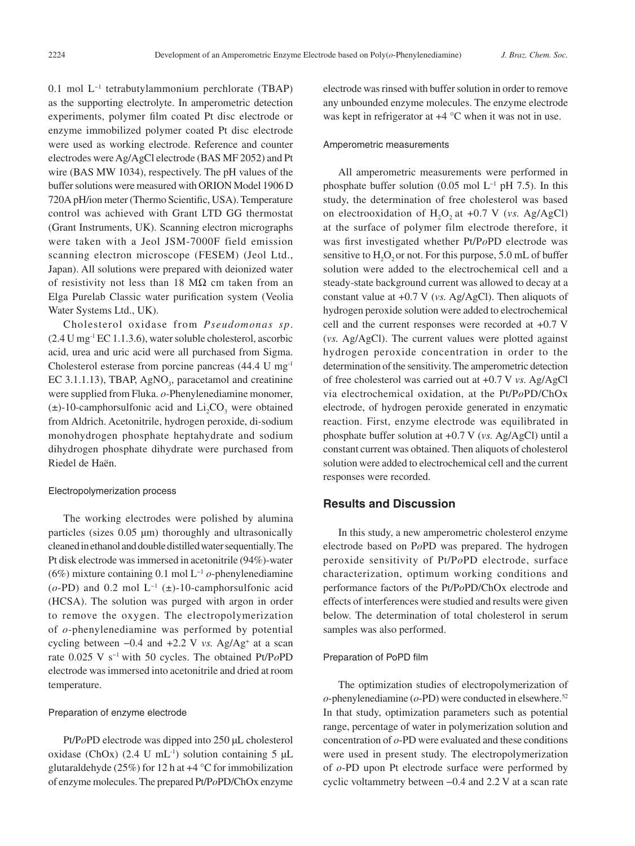0.1 mol L−1 tetrabutylammonium perchlorate (TBAP) as the supporting electrolyte. In amperometric detection experiments, polymer film coated Pt disc electrode or enzyme immobilized polymer coated Pt disc electrode were used as working electrode. Reference and counter electrodes were Ag/AgCl electrode (BAS MF 2052) and Pt wire (BAS MW 1034), respectively. The pH values of the buffer solutions were measured with ORION Model 1906 D 720A pH/ion meter (Thermo Scientific, USA). Temperature control was achieved with Grant LTD GG thermostat (Grant Instruments, UK). Scanning electron micrographs were taken with a Jeol JSM-7000F field emission scanning electron microscope (FESEM) (Jeol Ltd., Japan). All solutions were prepared with deionized water of resistivity not less than 18  $M\Omega$  cm taken from an Elga Purelab Classic water purification system (Veolia Water Systems Ltd., UK).

Cholesterol oxidase from *Pseudomonas sp*. (2.4 U mg-1 EC 1.1.3.6), water soluble cholesterol, ascorbic acid, urea and uric acid were all purchased from Sigma. Cholesterol esterase from porcine pancreas (44.4 U mg-1 EC 3.1.1.13), TBAP,  $AgNO<sub>3</sub>$ , paracetamol and creatinine were supplied from Fluka. *o-*Phenylenediamine monomer,  $(\pm)$ -10-camphorsulfonic acid and Li<sub>2</sub>CO<sub>3</sub> were obtained from Aldrich. Acetonitrile, hydrogen peroxide, di-sodium monohydrogen phosphate heptahydrate and sodium dihydrogen phosphate dihydrate were purchased from Riedel de Haën.

#### Electropolymerization process

The working electrodes were polished by alumina particles (sizes 0.05 µm) thoroughly and ultrasonically cleaned in ethanol and double distilled water sequentially. The Pt disk electrode was immersed in acetonitrile (94%)-water (6%) mixture containing 0.1 mol L−1 *o*-phenylenediamine  $(o-PD)$  and 0.2 mol L<sup>-1</sup> ( $\pm$ )-10-camphorsulfonic acid (HCSA). The solution was purged with argon in order to remove the oxygen. The electropolymerization of *o*-phenylenediamine was performed by potential cycling between  $-0.4$  and  $+2.2$  V *vs.* Ag/Ag<sup>+</sup> at a scan rate 0.025 V s−1 with 50 cycles. The obtained Pt/P*o*PD electrode was immersed into acetonitrile and dried at room temperature.

#### Preparation of enzyme electrode

Pt/P*o*PD electrode was dipped into 250 µL cholesterol oxidase (ChOx) (2.4 U mL<sup>-1</sup>) solution containing 5  $\mu$ L glutaraldehyde (25%) for 12 h at +4 °C for immobilization of enzyme molecules. The prepared Pt/P*o*PD/ChOx enzyme electrode was rinsed with buffer solution in order to remove any unbounded enzyme molecules. The enzyme electrode was kept in refrigerator at +4 °C when it was not in use.

#### Amperometric measurements

All amperometric measurements were performed in phosphate buffer solution (0.05 mol L−1 pH 7.5). In this study, the determination of free cholesterol was based on electrooxidation of  $H_2O_2$  at  $+0.7$  V (*vs.* Ag/AgCl) at the surface of polymer film electrode therefore, it was first investigated whether Pt/P*o*PD electrode was sensitive to  $H_2O_2$  or not. For this purpose, 5.0 mL of buffer solution were added to the electrochemical cell and a steady-state background current was allowed to decay at a constant value at +0.7 V (*vs.* Ag/AgCl). Then aliquots of hydrogen peroxide solution were added to electrochemical cell and the current responses were recorded at +0.7 V (*vs.* Ag/AgCl). The current values were plotted against hydrogen peroxide concentration in order to the determination of the sensitivity. The amperometric detection of free cholesterol was carried out at +0.7 V *vs.* Ag/AgCl via electrochemical oxidation, at the Pt/P*o*PD/ChOx electrode, of hydrogen peroxide generated in enzymatic reaction. First, enzyme electrode was equilibrated in phosphate buffer solution at +0.7 V (*vs.* Ag/AgCl) until a constant current was obtained. Then aliquots of cholesterol solution were added to electrochemical cell and the current responses were recorded.

# **Results and Discussion**

In this study, a new amperometric cholesterol enzyme electrode based on P*o*PD was prepared. The hydrogen peroxide sensitivity of Pt/P*o*PD electrode, surface characterization, optimum working conditions and performance factors of the Pt/P*o*PD/ChOx electrode and effects of interferences were studied and results were given below. The determination of total cholesterol in serum samples was also performed.

### Preparation of PoPD film

The optimization studies of electropolymerization of  $o$ -phenylenediamine ( $o$ -PD) were conducted in elsewhere.<sup>52</sup> In that study, optimization parameters such as potential range, percentage of water in polymerization solution and concentration of *o*-PD were evaluated and these conditions were used in present study. The electropolymerization of *o*-PD upon Pt electrode surface were performed by cyclic voltammetry between −0.4 and 2.2 V at a scan rate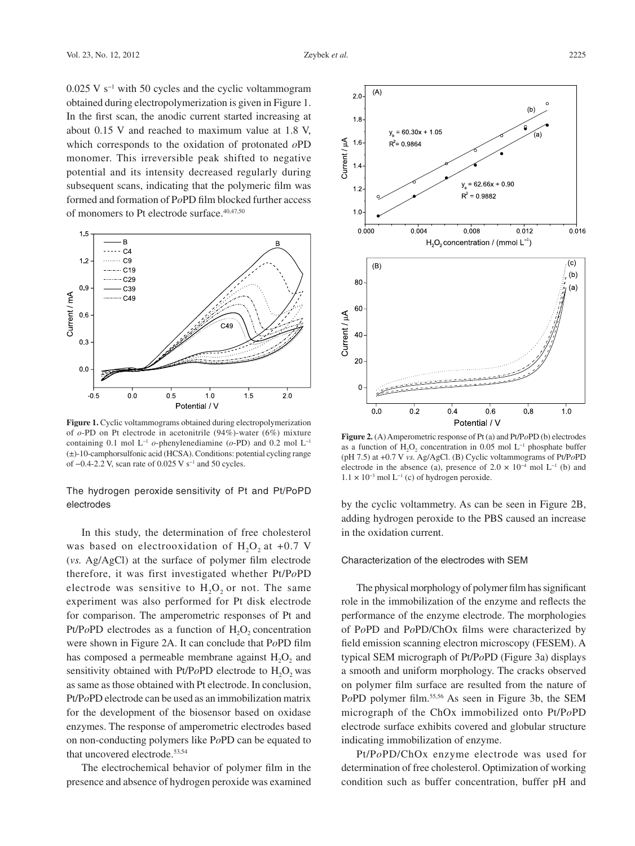0.025 V s−1 with 50 cycles and the cyclic voltammogram obtained during electropolymerization is given in Figure 1. In the first scan, the anodic current started increasing at about 0.15 V and reached to maximum value at 1.8 V, which corresponds to the oxidation of protonated *o*PD monomer. This irreversible peak shifted to negative potential and its intensity decreased regularly during subsequent scans, indicating that the polymeric film was formed and formation of P*o*PD film blocked further access of monomers to Pt electrode surface.<sup>40,47,50</sup>



**Figure 1.** Cyclic voltammograms obtained during electropolymerization of *o*-PD on Pt electrode in acetonitrile (94%)-water (6%) mixture containing 0.1 mol L−1 *o*-phenylenediamine (*o*-PD) and 0.2 mol L−1 (±)-10-camphorsulfonic acid (HCSA). Conditions: potential cycling range of −0.4-2.2 V, scan rate of 0.025 V s−1 and 50 cycles.

# The hydrogen peroxide sensitivity of Pt and Pt/PoPD electrodes

In this study, the determination of free cholesterol was based on electrooxidation of  $H<sub>2</sub>O<sub>2</sub>$  at +0.7 V (*vs.* Ag/AgCl) at the surface of polymer film electrode therefore, it was first investigated whether Pt/P*o*PD electrode was sensitive to  $H_2O_2$  or not. The same experiment was also performed for Pt disk electrode for comparison. The amperometric responses of Pt and Pt/PoPD electrodes as a function of H<sub>2</sub>O<sub>2</sub> concentration were shown in Figure 2A. It can conclude that P*o*PD film has composed a permeable membrane against H<sub>2</sub>O<sub>2</sub> and sensitivity obtained with Pt/PoPD electrode to H<sub>2</sub>O<sub>2</sub> was as same as those obtained with Pt electrode. In conclusion, Pt/P*o*PD electrode can be used as an immobilization matrix for the development of the biosensor based on oxidase enzymes. The response of amperometric electrodes based on non-conducting polymers like P*o*PD can be equated to that uncovered electrode.<sup>53,54</sup>

The electrochemical behavior of polymer film in the presence and absence of hydrogen peroxide was examined



**Figure 2.** (A) Amperometric response of Pt (a) and Pt/P*o*PD (b) electrodes as a function of H<sub>2</sub>O<sub>2</sub> concentration in 0.05 mol L<sup>-1</sup> phosphate buffer (pH 7.5) at +0.7 V *vs.* Ag/AgCl. (B) Cyclic voltammograms of Pt/P*o*PD electrode in the absence (a), presence of  $2.0 \times 10^{-4}$  mol L<sup>-1</sup> (b) and  $1.1 \times 10^{-3}$  mol L<sup>-1</sup> (c) of hydrogen peroxide.

by the cyclic voltammetry. As can be seen in Figure 2B, adding hydrogen peroxide to the PBS caused an increase in the oxidation current.

#### Characterization of the electrodes with SEM

The physical morphology of polymer film has significant role in the immobilization of the enzyme and reflects the performance of the enzyme electrode. The morphologies of P*o*PD and P*o*PD/ChOx films were characterized by field emission scanning electron microscopy (FESEM). A typical SEM micrograph of Pt/P*o*PD (Figure 3a) displays a smooth and uniform morphology. The cracks observed on polymer film surface are resulted from the nature of PoPD polymer film.<sup>55,56</sup> As seen in Figure 3b, the SEM micrograph of the ChOx immobilized onto Pt/P*o*PD electrode surface exhibits covered and globular structure indicating immobilization of enzyme.

Pt/P*o*PD/ChOx enzyme electrode was used for determination of free cholesterol. Optimization of working condition such as buffer concentration, buffer pH and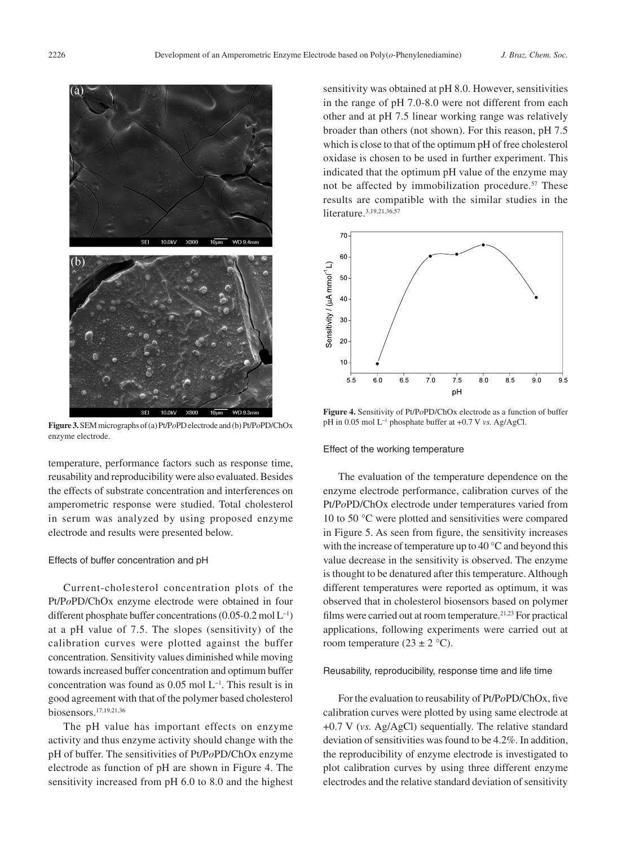

**Figure 3.** SEM micrographs of (a) Pt/P*o*PD electrode and (b) Pt/P*o*PD/ChOx enzyme electrode.

temperature, performance factors such as response time, reusability and reproducibility were also evaluated. Besides the effects of substrate concentration and interferences on amperometric response were studied. Total cholesterol in serum was analyzed by using proposed enzyme electrode and results were presented below.

#### Effects of buffer concentration and pH

Current-cholesterol concentration plots of the Pt/P*o*PD/ChOx enzyme electrode were obtained in four different phosphate buffer concentrations (0.05-0.2 mol L−1) at a pH value of 7.5. The slopes (sensitivity) of the calibration curves were plotted against the buffer concentration. Sensitivity values diminished while moving towards increased buffer concentration and optimum buffer concentration was found as 0.05 mol L−1. This result is in good agreement with that of the polymer based cholesterol biosensors.17,19,21,36

The pH value has important effects on enzyme activity and thus enzyme activity should change with the pH of buffer. The sensitivities of Pt/P*o*PD/ChOx enzyme electrode as function of pH are shown in Figure 4. The sensitivity increased from pH 6.0 to 8.0 and the highest

sensitivity was obtained at pH 8.0. However, sensitivities in the range of pH 7.0-8.0 were not different from each other and at pH 7.5 linear working range was relatively broader than others (not shown). For this reason, pH 7.5 which is close to that of the optimum pH of free cholesterol oxidase is chosen to be used in further experiment. This indicated that the optimum pH value of the enzyme may not be affected by immobilization procedure.<sup>57</sup> These results are compatible with the similar studies in the literature.<sup>3,19,21,36,57</sup>



**Figure 4.** Sensitivity of Pt/P*o*PD/ChOx electrode as a function of buffer pH in 0.05 mol L−1 phosphate buffer at +0.7 V *vs.* Ag/AgCl.

#### Effect of the working temperature

The evaluation of the temperature dependence on the enzyme electrode performance, calibration curves of the Pt/P*o*PD/ChOx electrode under temperatures varied from 10 to 50 °C were plotted and sensitivities were compared in Figure 5. As seen from figure, the sensitivity increases with the increase of temperature up to 40 °C and beyond this value decrease in the sensitivity is observed. The enzyme is thought to be denatured after this temperature. Although different temperatures were reported as optimum, it was observed that in cholesterol biosensors based on polymer films were carried out at room temperature.<sup>21,23</sup> For practical applications, following experiments were carried out at room temperature  $(23 \pm 2 \degree C)$ .

#### Reusability, reproducibility, response time and life time

For the evaluation to reusability of Pt/P*o*PD/ChOx, five calibration curves were plotted by using same electrode at +0.7 V (*vs.* Ag/AgCl) sequentially. The relative standard deviation of sensitivities was found to be 4.2%. In addition, the reproducibility of enzyme electrode is investigated to plot calibration curves by using three different enzyme electrodes and the relative standard deviation of sensitivity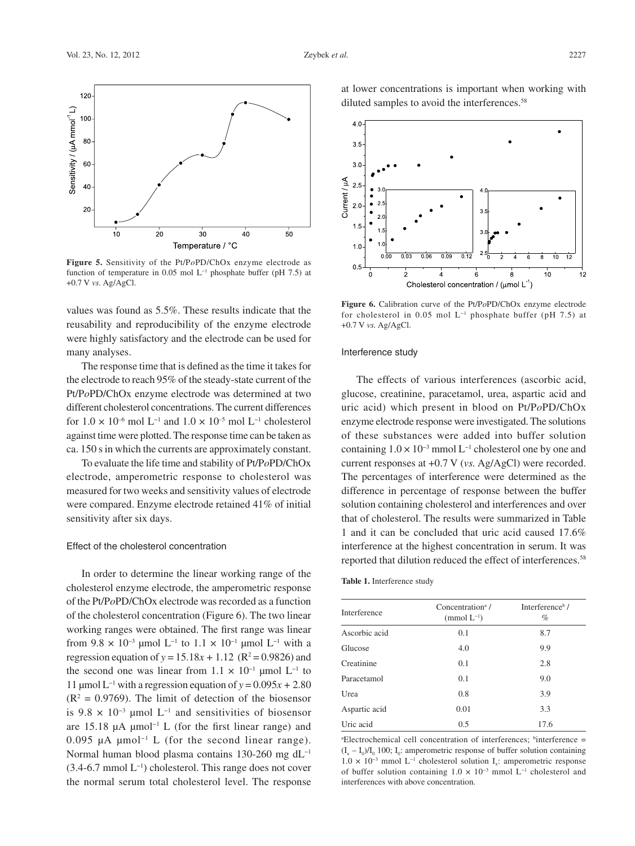

**Figure 5.** Sensitivity of the Pt/P*o*PD/ChOx enzyme electrode as function of temperature in 0.05 mol  $L^{-1}$  phosphate buffer (pH 7.5) at +0.7 V *vs.* Ag/AgCl.

values was found as 5.5%. These results indicate that the reusability and reproducibility of the enzyme electrode were highly satisfactory and the electrode can be used for many analyses.

The response time that is defined as the time it takes for the electrode to reach 95% of the steady-state current of the Pt/P*o*PD/ChOx enzyme electrode was determined at two different cholesterol concentrations. The current differences for  $1.0 \times 10^{-6}$  mol L<sup>-1</sup> and  $1.0 \times 10^{-5}$  mol L<sup>-1</sup> cholesterol against time were plotted. The response time can be taken as ca. 150 s in which the currents are approximately constant.

To evaluate the life time and stability of Pt/P*o*PD/ChOx electrode, amperometric response to cholesterol was measured for two weeks and sensitivity values of electrode were compared. Enzyme electrode retained 41% of initial sensitivity after six days.

#### Effect of the cholesterol concentration

In order to determine the linear working range of the cholesterol enzyme electrode, the amperometric response of the Pt/P*o*PD/ChOx electrode was recorded as a function of the cholesterol concentration (Figure 6). The two linear working ranges were obtained. The first range was linear from  $9.8 \times 10^{-3}$  µmol L<sup>-1</sup> to  $1.1 \times 10^{-1}$  µmol L<sup>-1</sup> with a regression equation of  $y = 15.18x + 1.12$  (R<sup>2</sup> = 0.9826) and the second one was linear from  $1.1 \times 10^{-1}$  µmol L<sup>-1</sup> to 11 µmol L−1 with a regression equation of *y* = 0.095*x +* 2.80  $(R<sup>2</sup> = 0.9769)$ . The limit of detection of the biosensor is 9.8  $\times$  10<sup>-3</sup> µmol L<sup>-1</sup> and sensitivities of biosensor are 15.18 µA µmol−1 L (for the first linear range) and 0.095 µA µmol−1 L (for the second linear range). Normal human blood plasma contains 130-260 mg dL−1 (3.4-6.7 mmol L−1) cholesterol. This range does not cover the normal serum total cholesterol level. The response

at lower concentrations is important when working with diluted samples to avoid the interferences.<sup>58</sup>



**Figure 6.** Calibration curve of the Pt/P*o*PD/ChOx enzyme electrode for cholesterol in 0.05 mol L−1 phosphate buffer (pH 7.5) at +0.7 V *vs.* Ag/AgCl.

#### Interference study

The effects of various interferences (ascorbic acid, glucose, creatinine, paracetamol, urea, aspartic acid and uric acid) which present in blood on Pt/P*o*PD/ChOx enzyme electrode response were investigated. The solutions of these substances were added into buffer solution containing  $1.0 \times 10^{-3}$  mmol L<sup>-1</sup> cholesterol one by one and current responses at +0.7 V (*vs.* Ag/AgCl) were recorded. The percentages of interference were determined as the difference in percentage of response between the buffer solution containing cholesterol and interferences and over that of cholesterol. The results were summarized in Table 1 and it can be concluded that uric acid caused 17.6% interference at the highest concentration in serum. It was reported that dilution reduced the effect of interferences.<sup>58</sup>

#### **Table 1.** Interference study

| Interference  | Concentration <sup>a</sup> /<br>(mmol $L^{-1}$ ) | Interference <sup>b</sup> /<br>% |
|---------------|--------------------------------------------------|----------------------------------|
| Ascorbic acid | 0.1                                              | 8.7                              |
| Glucose       | 4.0                                              | 9.9                              |
| Creatinine    | 0.1                                              | 2.8                              |
| Paracetamol   | 0.1                                              | 9.0                              |
| Urea          | 0.8                                              | 3.9                              |
| Aspartic acid | 0.01                                             | 3.3                              |
| Uric acid     | 0.5                                              | 17.6                             |

<sup>a</sup>Electrochemical cell concentration of interferences; <sup>b</sup>interference =  $(I_x - I_0) / I_0$  100;  $I_0$ : amperometric response of buffer solution containing  $1.0 \times 10^{-3}$  mmol L<sup>-1</sup> cholesterol solution I<sub>x</sub>: amperometric response of buffer solution containing  $1.0 \times 10^{-3}$  mmol L<sup>-1</sup> cholesterol and interferences with above concentration.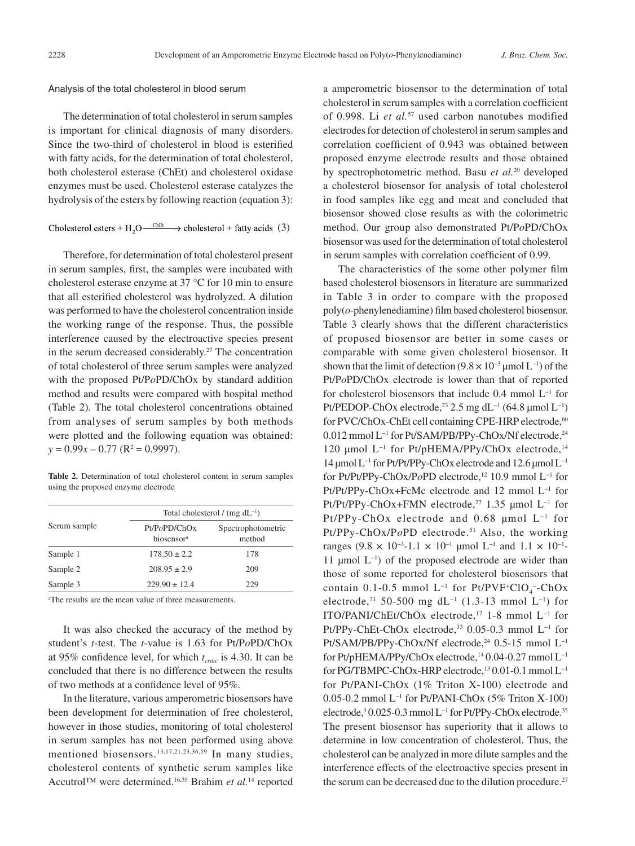#### Analysis of the total cholesterol in blood serum

The determination of total cholesterol in serum samples is important for clinical diagnosis of many disorders. Since the two-third of cholesterol in blood is esterified with fatty acids, for the determination of total cholesterol, both cholesterol esterase (ChEt) and cholesterol oxidase enzymes must be used. Cholesterol esterase catalyzes the hydrolysis of the esters by following reaction (equation 3):

Cholesterol esters + H<sub>2</sub>O  $\xrightarrow{\text{ChEt}}$  > cholesterol + fatty acids (3)

Therefore, for determination of total cholesterol present in serum samples, first, the samples were incubated with cholesterol esterase enzyme at 37 °C for 10 min to ensure that all esterified cholesterol was hydrolyzed. A dilution was performed to have the cholesterol concentration inside the working range of the response. Thus, the possible interference caused by the electroactive species present in the serum decreased considerably.<sup>27</sup> The concentration of total cholesterol of three serum samples were analyzed with the proposed Pt/P*o*PD/ChOx by standard addition method and results were compared with hospital method (Table 2). The total cholesterol concentrations obtained from analyses of serum samples by both methods were plotted and the following equation was obtained:  $y = 0.99x - 0.77$  ( $R^2 = 0.9997$ ).

**Table 2.** Determination of total cholesterol content in serum samples using the proposed enzyme electrode

|              | Total cholesterol / $(mg dL^{-1})$     |                              |  |
|--------------|----------------------------------------|------------------------------|--|
| Serum sample | Pt/PoPD/ChOx<br>biosensor <sup>a</sup> | Spectrophotometric<br>method |  |
| Sample 1     | $178.50 \pm 2.2$                       | 178                          |  |
| Sample 2     | $208.95 \pm 2.9$                       | 209                          |  |
| Sample 3     | $229.90 \pm 12.4$                      | 229                          |  |

a The results are the mean value of three measurements.

It was also checked the accuracy of the method by student's *t*-test. The *t*-value is 1.63 for Pt/P*o*PD/ChOx at 95% confidence level, for which  $t_{critic}$  is 4.30. It can be concluded that there is no difference between the results of two methods at a confidence level of 95%.

In the literature, various amperometric biosensors have been development for determination of free cholesterol, however in those studies, monitoring of total cholesterol in serum samples has not been performed using above mentioned biosensors.13,17,21,23,36,59 In many studies, cholesterol contents of synthetic serum samples like Accutrol™ were determined.16,35 Brahim *et al.*14 reported a amperometric biosensor to the determination of total cholesterol in serum samples with a correlation coefficient of 0.998. Li *et al.*57 used carbon nanotubes modified electrodes for detection of cholesterol in serum samples and correlation coefficient of 0.943 was obtained between proposed enzyme electrode results and those obtained by spectrophotometric method. Basu *et al.*20 developed a cholesterol biosensor for analysis of total cholesterol in food samples like egg and meat and concluded that biosensor showed close results as with the colorimetric method. Our group also demonstrated Pt/P*o*PD/ChOx biosensor was used for the determination of total cholesterol in serum samples with correlation coefficient of 0.99.

The characteristics of the some other polymer film based cholesterol biosensors in literature are summarized in Table 3 in order to compare with the proposed poly(*o*-phenylenediamine) film based cholesterol biosensor. Table 3 clearly shows that the different characteristics of proposed biosensor are better in some cases or comparable with some given cholesterol biosensor. It shown that the limit of detection  $(9.8 \times 10^{-3} \,\mathrm{\mu mol} \, \mathrm{L}^{-1})$  of the Pt/P*o*PD/ChOx electrode is lower than that of reported for cholesterol biosensors that include 0.4 mmol L−1 for Pt/PEDOP-ChOx electrode,<sup>23</sup> 2.5 mg dL<sup>-1</sup> (64.8 µmol L<sup>-1</sup>) for PVC/ChOx-ChEt cell containing CPE-HRP electrode,<sup>60</sup> 0.012 mmol L−1 for Pt/SAM/PB/PPy-ChOx/Nf electrode,24 120 μmol L<sup>-1</sup> for Pt/pHEMA/PPy/ChOx electrode,<sup>14</sup> 14 µmolL−1 for Pt/Pt/PPy-ChOx electrode and 12.6 µmolL−1 for Pt/Pt/PPy-ChOx/PoPD electrode,<sup>12</sup> 10.9 mmol L<sup>-1</sup> for Pt/Pt/PPy-ChOx+FcMc electrode and 12 mmol L−1 for Pt/Pt/PPy-ChOx+FMN electrode,<sup>27</sup> 1.35 µmol L<sup>-1</sup> for Pt/PPy-ChOx electrode and 0.68 µmol L−1 for Pt/PPy-ChOx/PoPD electrode.<sup>51</sup> Also, the working ranges (9.8 × 10<sup>-3</sup>-1.1 × 10<sup>-1</sup> µmol L<sup>-1</sup> and 1.1 × 10<sup>-1</sup>-11 µmol  $L^{-1}$ ) of the proposed electrode are wider than those of some reported for cholesterol biosensors that contain 0.1-0.5 mmol  $L^{-1}$  for Pt/PVF<sup>+</sup>ClO<sub>4</sub><sup>-</sup>-ChOx electrode,<sup>21</sup> 50-500 mg dL<sup>-1</sup> (1.3-13 mmol L<sup>-1</sup>) for ITO/PANI/ChEt/ChOx electrode,17 1-8 mmol L−1 for Pt/PPy-ChEt-ChOx electrode,33 0.05-0.3 mmol L−1 for Pt/SAM/PB/PPy-ChOx/Nf electrode,<sup>24</sup> 0.5-15 mmol L<sup>-1</sup> for Pt/pHEMA/PPy/ChOx electrode,<sup>14</sup> 0.04-0.27 mmol L<sup>-1</sup> for PG/TBMPC-ChOx-HRP electrode,13 0.01-0.1 mmol L−1 for Pt/PANI-ChOx (1% Triton X-100) electrode and 0.05-0.2 mmol L−1 for Pt/PANI-ChOx (5% Triton X-100) electrode,<sup>3</sup> 0.025-0.3 mmol L<sup>-1</sup> for Pt/PPy-ChOx electrode.<sup>35</sup> The present biosensor has superiority that it allows to determine in low concentration of cholesterol. Thus, the cholesterol can be analyzed in more dilute samples and the interference effects of the electroactive species present in the serum can be decreased due to the dilution procedure.<sup>27</sup>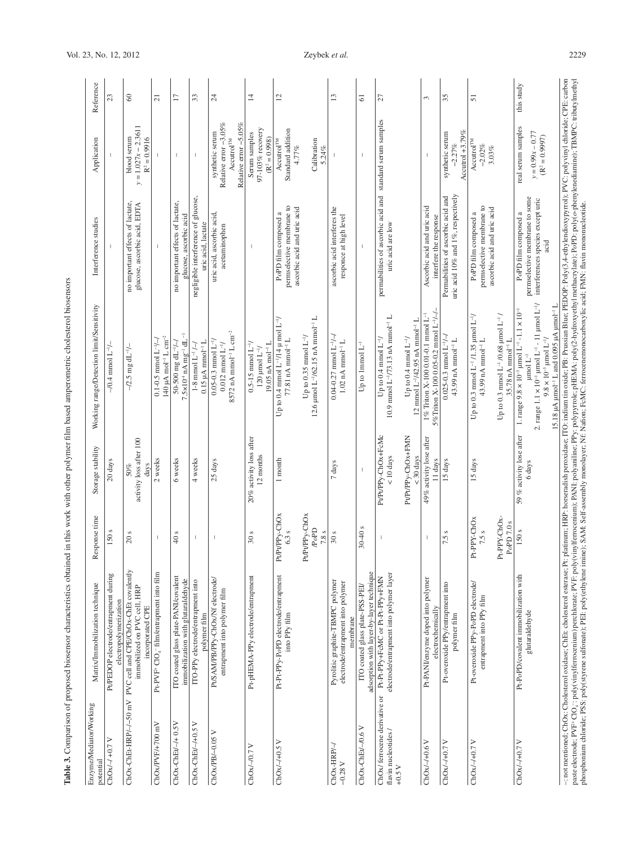| Enzyme/Mediator/Working<br>potential                                                                                                                                                     | Matrix/Immobilization technique                                                                                  | Response time                                            | Storage stability                                                                 | Working range/Detection limit/Sensitivity                                                                                                                                                                                                                                                                                                                                            | Interference studies                                                                                | Application                                                                                    | Reference      |
|------------------------------------------------------------------------------------------------------------------------------------------------------------------------------------------|------------------------------------------------------------------------------------------------------------------|----------------------------------------------------------|-----------------------------------------------------------------------------------|--------------------------------------------------------------------------------------------------------------------------------------------------------------------------------------------------------------------------------------------------------------------------------------------------------------------------------------------------------------------------------------|-----------------------------------------------------------------------------------------------------|------------------------------------------------------------------------------------------------|----------------|
| $ChOx/-/ +0.7 V$                                                                                                                                                                         | Pt/PEDOP electrode/entrapment during<br>electropolymerization                                                    | 150 s                                                    | 20 days                                                                           | $-10.4$ mmol $L^{-1/2}$                                                                                                                                                                                                                                                                                                                                                              |                                                                                                     |                                                                                                | 23             |
|                                                                                                                                                                                          | ChOx-ChEt-HRP/-/-50 mV PVC cell and CPE/ChOx-ChEt covalently<br>immobilized on PVC cell, HRP<br>incorporated CPE | 20 s                                                     | activity loss after 100<br>days<br>50%                                            | $-$ /2.5 mg dL <sup>-1</sup> /-                                                                                                                                                                                                                                                                                                                                                      | no important effects of lactate,<br>glucose, ascorbic acid, EDTA                                    | $y = 1.027x - 2.3611$<br>blood serum<br>$R^2 = 0.9916$                                         | $\infty$       |
| ChOx/PVF/+700 mV                                                                                                                                                                         | Pt-PVF+CIO <sub>4</sub> <sup>-</sup> film/entrapment into film                                                   |                                                          | 2 weeks                                                                           | 140 $\mu$ A mol <sup>-1</sup> L cm <sup>-2</sup><br>$0.1-0.5$ mmol $L^{-1}/-1$                                                                                                                                                                                                                                                                                                       |                                                                                                     |                                                                                                | $\overline{c}$ |
| $ChOx$ -ChEt $l$ -/+ $0.5V$                                                                                                                                                              | ITO coated glass plate-PANI/covalent<br>immobilization with glutaral dehy de                                     | $40 s$                                                   | 6 weeks                                                                           | $7.5 \times 10^{-4}$ nA mg <sup>-1</sup> dL <sup>-1</sup><br>50-500 mg dL <sup>-1</sup> /-                                                                                                                                                                                                                                                                                           | no important effects of lactate,<br>glucose, ascorbic acid                                          |                                                                                                | $\Box$         |
| ChOx-ChEt/-/+0.5 V                                                                                                                                                                       | ITO-PPy electrode/entrapment into<br>polymer film                                                                |                                                          | 4 weeks                                                                           | $0.15 \mu A$ mmol <sup>-1</sup> L<br>1-8 mmol $L^{-1}/\rightarrow$                                                                                                                                                                                                                                                                                                                   | negligible interference of glucose,<br>uric acid, lactate                                           |                                                                                                | 33             |
| $ChOx/PB/-0.05V$                                                                                                                                                                         | Pt/SAM/PB/PPy-ChOx/Nf electrode/<br>entrapment into polymer film                                                 |                                                          | 25 days                                                                           | 8572 nA mmol <sup>-1</sup> L cm <sup>-2</sup><br>$0.05 - 0.3$ mmol $L^{-1}$ /<br>$0.012$ mmol $L^{-1}$ /                                                                                                                                                                                                                                                                             | uric acid, ascorbic acid<br>acetaminophen                                                           | Relative error $-3.05\%$<br>Relative error -5.05%<br>synthetic serum<br>Accutrol <sup>TM</sup> | 24             |
| $ChOx/-/0.7V$                                                                                                                                                                            | Pt-pHEMA-PPy electrode/entrapment                                                                                | 30 <sub>s</sub>                                          | 20% activity loss after<br>12 months                                              | $19.05$ nA mol <sup>-1</sup> L<br>$0.5-15$ mmol $L^-$<br>$120 \mu$ mol $L^{-1}$                                                                                                                                                                                                                                                                                                      |                                                                                                     | 97-103% recovery<br>Serum samples<br>$(R^2 = 0.998)$                                           | $\overline{1}$ |
| $ChOx/-/+0.5V$                                                                                                                                                                           | Pt-Pt-PPy-PoPD electrode/entrapment<br>into PPy film                                                             | Pt/Pt/PPy-ChOx<br>Pt/Pt/PPy-ChOx<br>6.3 s                | 1 month                                                                           | Up to $0.4 \text{ mmol L}^{-1}/14 \mu \text{ mol L}^{-1}$<br>Up to $0.35$ mmol $L^{-1}/$<br>77.81 nA mmol <sup>-1</sup> L                                                                                                                                                                                                                                                            | permselective membrane to<br>ascorbic acid and uric acid<br>PoPD film composed a                    | Standard addition<br>Accutrol <sup>TM</sup><br>4.77%                                           | $\overline{c}$ |
|                                                                                                                                                                                          |                                                                                                                  | $\mathcal{P}o\mathrm{PD}$<br>$7.8\,\mathrm{s}$           |                                                                                   | $12.6$ µmol $L^{-1}/62.15$ nA mmol <sup>-1</sup> L                                                                                                                                                                                                                                                                                                                                   |                                                                                                     | Calibration<br>5.24%                                                                           |                |
| $ChOx-HRP-$<br>$-0.28V$                                                                                                                                                                  | Pyrolitic graphite-TBMPC polymer<br>electrode/entrapment into polymer<br>membrane                                | 30s                                                      | 7 days                                                                            | $0.04 - 0.27$ mmol $L^{-1}/$<br>$1.02$ nA mmol <sup>-1</sup> L                                                                                                                                                                                                                                                                                                                       | ascorbic acid interferes the<br>responce at high level                                              |                                                                                                | $\mathbf{r}$   |
| $ChOx$ -Ch $Et$ -/0.6 V                                                                                                                                                                  | adsorption with layer-by-layer technique<br>ITO coated glass plate-PSS-PEL                                       | $30 - 40$ s                                              |                                                                                   | Up to 1mmol $L^-$                                                                                                                                                                                                                                                                                                                                                                    |                                                                                                     |                                                                                                | $\overline{6}$ |
| flavin nucleotides /<br>$+0.5V$                                                                                                                                                          | electrode/entrapment into polymer layer<br>ChOx/ferrocene derivative or Pt-Pt-PPy+FcMC or Pt-Pt-PPy+FMN          |                                                          | Pt/Pt/PPy-ChOx+FcMc<br>Pt/Pt/PPy-ChOx+FMN<br>$< 10 \mathrm{ days}$<br>$<$ 30 days | 10.9 mmol L <sup>-1</sup> /73.13 nA mmol <sup>-1</sup> L<br>$12 \text{ mmol L}^{-1}/42.95 \text{ nA mmol}^{-1}$ L<br>Up to 0.4 mmol $L^{-1}$ /<br>Up to $0.4$ mmol $L^{-1}$ /                                                                                                                                                                                                        | permabilities of ascorbic acid and standard serum samples<br>uric acid are low                      |                                                                                                | 27             |
| $ChOx/-/+0.6V$                                                                                                                                                                           | Pt-PANI/enzyme doped into polymer<br>electrochemically                                                           |                                                          | 49% activity lose after<br>11 days                                                | 5% Triton X-100 0.05-0.2 mmol $L^{-1/2}$<br>1% Triton X-100 0.01-0.1 mmol L <sup>-1</sup>                                                                                                                                                                                                                                                                                            | Ascorbic acid and uric acid<br>interfere the response                                               |                                                                                                | 3              |
| $ChOx/-/+0.7V$                                                                                                                                                                           | Pt-overoxide PPy/entrapment into<br>polymer film                                                                 | 7.5 s                                                    | 15 days                                                                           | $0.025 - 0.3$ mmol $L^{-1}$ /-/<br>43.99 nA mmol <sup>-1</sup> L                                                                                                                                                                                                                                                                                                                     | uric acid 10% and 1%, respectively<br>Permabilities of ascorbic acid and                            | Accutrol $+3.79\%$<br>synthetic serum<br>$-2.27%$                                              | 35             |
| $ChOx/-/+0.7V$                                                                                                                                                                           | Pt-overoxide PPy-PoPD electrode/<br>entrapment into PPy film                                                     | Pt-PPY-ChOx-<br>Pt-PPY-ChOx<br>PoPD 7.0 $\rm s$<br>7.5 s | 15 days                                                                           | Up to 0.3 mmol $L^{-1}$ /0.68 $\mu$ mol $L^{-1}$ /<br>Up to 0.3 mmol $L^{-1}$ /1.35 $\mu$ mol $L^{-1}$ /<br>43.99 nA mmol <sup>-1</sup> L<br>35.78 nA mmol <sup>-1</sup> L                                                                                                                                                                                                           | permselective membrane to<br>ascorbic acid and uric acid<br>PoPD film composed a                    | Accutrol <sup>TM</sup><br>$-2.02\%$<br>3.03%                                                   | 51             |
| ChOx/-/+0.7 V                                                                                                                                                                            | Pt-PoPD/covalent immobilization with<br>glutaraldehyde                                                           | 150 <sub>s</sub>                                         | 59 % activity lose after<br>6 days                                                | 2. range $1.1 \times 10^{-1}$ µmol $L^{-1}$ - 11 µmol $L^{-1}/$<br>15.18 µA µmol <sup>-1</sup> L and 0.095 µA µmol <sup>-1</sup> L<br>1. range $9.8 \times 10^{-3}$ µmol L <sup>-1</sup> -1.1 × 10 <sup>-1</sup><br>$9.8 \times 10^{-3}$ µmol L <sup>-1</sup> /<br>$\mu$ mol $L^{-1}$                                                                                                | permselective membrane to some<br>interferences species except uric<br>PoPD film composed a<br>acid | real serum samples<br>$y = 0.99x - 0.77$<br>$(R^2 = 0.9997)$                                   | this study     |
| phosphonium chloride: PSS: poly(styrene sulfonate); PEI: poly(ethylene imine); SAM: Self-assembly monolaver: Nf; Nafion: FeMC: ferrocenemonocarboxylic acid: FMN: flavin mononucleotide. | -: not mentioned; ChOx: Cholesterol oxidase; ChEt: cholesterol esterase; Pt:                                     |                                                          |                                                                                   | platinum; HRP: horseradish peroxidase; ITO: indium tin oxide; PB: PR: sian Blue; PEDOP: Poly(3,4-ethylendioxypyrrol); PVC: polyvinyl chloride; CPE: carbon<br>paste electrode; Pvly(vinylferrocenium) perchlorate; PVF: poly(vinylferrocenium); PANI: polyaniline; PPy: polypyrrole; pHEMA: poly(2-hydroxyethyl methacrylate); PaPD: poly(o-phenylenediamine); TBMPC: tributylmethyl |                                                                                                     |                                                                                                |                |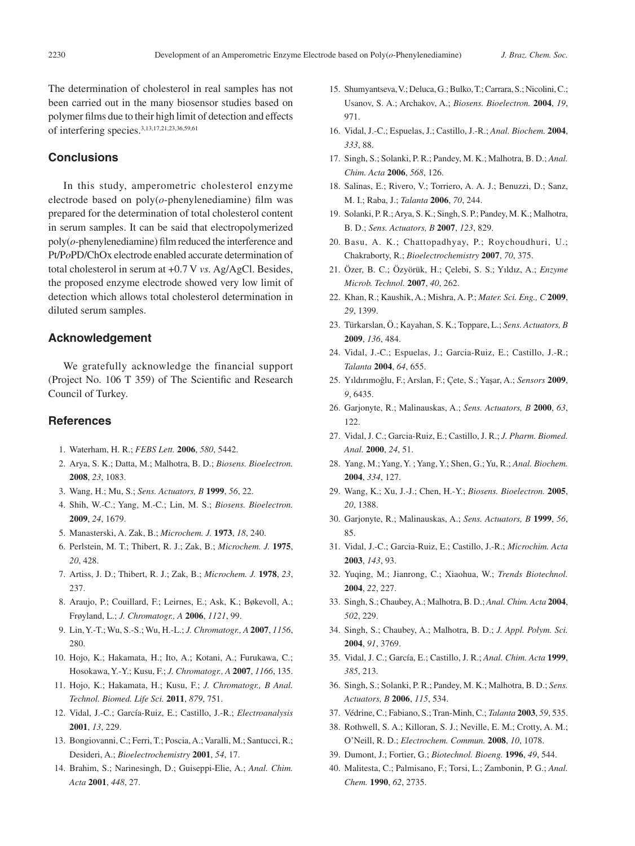The determination of cholesterol in real samples has not been carried out in the many biosensor studies based on polymer films due to their high limit of detection and effects of interfering species.3,13,17,21,23,36,59,61

# **Conclusions**

In this study, amperometric cholesterol enzyme electrode based on poly(*o*-phenylenediamine) film was prepared for the determination of total cholesterol content in serum samples. It can be said that electropolymerized poly(*o*-phenylenediamine) film reduced the interference and Pt/P*o*PD/ChOx electrode enabled accurate determination of total cholesterol in serum at +0.7 V *vs.* Ag/AgCl. Besides, the proposed enzyme electrode showed very low limit of detection which allows total cholesterol determination in diluted serum samples.

# **Acknowledgement**

We gratefully acknowledge the financial support (Project No. 106 T 359) of The Scientific and Research Council of Turkey.

# **References**

- 1. Waterham, H. R.; *FEBS Lett.* **2006**, *580*, 5442.
- 2. Arya, S. K.; Datta, M.; Malhotra, B. D.; *Biosens. Bioelectron.*  **2008**, *23*, 1083.
- 3. Wang, H.; Mu, S.; *Sens. Actuators, B* **1999**, *56*, 22.
- 4. Shih, W.-C.; Yang, M.-C.; Lin, M. S.; *Biosens. Bioelectron.*  **2009**, *24*, 1679.
- 5. Manasterski, A. Zak, B.; *Microchem. J.* **1973**, *18*, 240.
- 6. Perlstein, M. T.; Thibert, R. J.; Zak, B.; *Microchem. J.* **1975**, *20*, 428.
- 7. Artiss, J. D.; Thibert, R. J.; Zak, B.; *Microchem. J.* **1978**, *23*, 237.
- 8. Araujo, P.; Couillard, F.; Leirnes, E.; Ask, K.; Bøkevoll, A.; Frøyland, L.; *J. Chromatogr., A* **2006**, *1121*, 99.
- 9. Lin, Y.-T.; Wu, S.-S.; Wu, H.-L.; *J. Chromatogr., A* **2007**, *1156*, 280.
- 10. Hojo, K.; Hakamata, H.; Ito, A.; Kotani, A.; Furukawa, C.; Hosokawa, Y.-Y.; Kusu, F.; *J. Chromatogr., A* **2007**, *1166*, 135.
- 11. Hojo, K.; Hakamata, H.; Kusu, F.; *J. Chromatogr., B Anal. Technol. Biomed. Life Sci.* **2011**, *879*, 751.
- 12. Vidal, J.-C.; García-Ruiz, E.; Castillo, J.-R.; *Electroanalysis*  **2001**, *13*, 229.
- 13. Bongiovanni, C.; Ferri, T.; Poscia, A.; Varalli, M.; Santucci, R.; Desideri, A.; *Bioelectrochemistry* **2001**, *54*, 17.
- 14. Brahim, S.; Narinesingh, D.; Guiseppi-Elie, A.; *Anal. Chim. Acta* **2001**, *448*, 27.
- 15. Shumyantseva, V.; Deluca, G.; Bulko, T.; Carrara, S.; Nicolini, C.; Usanov, S. A.; Archakov, A.; *Biosens. Bioelectron.* **2004**, *19*, 971.
- 16. Vidal, J.-C.; Espuelas, J.; Castillo, J.-R.; *Anal. Biochem.* **2004**, *333*, 88.
- 17. Singh, S.; Solanki, P. R.; Pandey, M. K.; Malhotra, B. D.; *Anal. Chim. Acta* **2006**, *568*, 126.
- 18. Salinas, E.; Rivero, V.; Torriero, A. A. J.; Benuzzi, D.; Sanz, M. I.; Raba, J.; *Talanta* **2006**, *70*, 244.
- 19. Solanki, P. R.; Arya, S. K.; Singh, S. P.; Pandey, M. K.; Malhotra, B. D.; *Sens. Actuators, B* **2007**, *123*, 829.
- 20. Basu, A. K.; Chattopadhyay, P.; Roychoudhuri, U.; Chakraborty, R.; *Bioelectrochemistry* **2007**, *70*, 375.
- 21. Özer, B. C.; Özyörük, H.; Çelebi, S. S.; Yıldız, A.; *Enzyme Microb. Technol.* **2007**, *40*, 262.
- 22. Khan, R.; Kaushik, A.; Mishra, A. P.; *Mater. Sci. Eng., C* **2009**, *29*, 1399.
- 23. Türkarslan, Ö.; Kayahan, S. K.; Toppare, L.; *Sens. Actuators, B*  **2009**, *136*, 484.
- 24. Vidal, J.-C.; Espuelas, J.; Garcia-Ruiz, E.; Castillo, J.-R.; *Talanta* **2004**, *64*, 655.
- 25. Yıldırımoğlu, F.; Arslan, F.; Çete, S.; Yaşar, A.; *Sensors* **2009**, *9*, 6435.
- 26. Garjonyte, R.; Malinauskas, A.; *Sens. Actuators, B* **2000**, *63*, 122.
- 27. Vidal, J. C.; Garcia-Ruiz, E.; Castillo, J. R.; *J. Pharm. Biomed. Anal.* **2000**, *24*, 51.
- 28. Yang, M.; Yang, Y. ; Yang, Y.; Shen, G.; Yu, R.; *Anal. Biochem.*  **2004**, *334*, 127.
- 29. Wang, K.; Xu, J.-J.; Chen, H.-Y.; *Biosens. Bioelectron.* **2005**, *20*, 1388.
- 30. Garjonyte, R.; Malinauskas, A.; *Sens. Actuators, B* **1999**, *56*, 85.
- 31. Vidal, J.-C.; Garcia-Ruiz, E.; Castillo, J.-R.; *Microchim. Acta*  **2003**, *143*, 93.
- 32. Yuqing, M.; Jianrong, C.; Xiaohua, W.; *Trends Biotechnol.*  **2004**, *22*, 227.
- 33. Singh, S.; Chaubey, A.; Malhotra, B. D.; *Anal. Chim. Acta* **2004**, *502*, 229.
- 34. Singh, S.; Chaubey, A.; Malhotra, B. D.; *J. Appl. Polym. Sci.*  **2004**, *91*, 3769.
- 35. Vidal, J. C.; García, E.; Castillo, J. R.; *Anal. Chim. Acta* **1999**, *385*, 213.
- 36. Singh, S.; Solanki, P. R.; Pandey, M. K.; Malhotra, B. D.; *Sens. Actuators, B* **2006**, *115*, 534.
- 37. Védrine, C.; Fabiano, S.; Tran-Minh, C.; *Talanta* **2003**, *59*, 535.
- 38. Rothwell, S. A.; Killoran, S. J.; Neville, E. M.; Crotty, A. M.; O'Neill, R. D.; *Electrochem. Commun.* **2008**, *10*, 1078.
- 39. Dumont, J.; Fortier, G.; *Biotechnol. Bioeng.* **1996**, *49*, 544.
- 40. Malitesta, C.; Palmisano, F.; Torsi, L.; Zambonin, P. G.; *Anal. Chem.* **1990**, *62*, 2735.